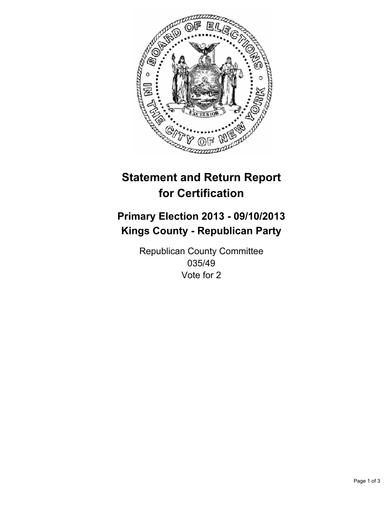

# **Statement and Return Report for Certification**

# **Primary Election 2013 - 09/10/2013 Kings County - Republican Party**

Republican County Committee 035/49 Vote for 2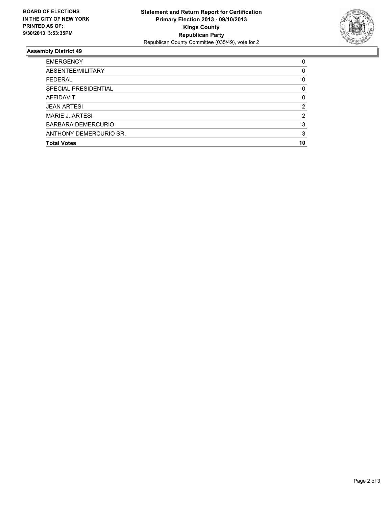

## **Assembly District 49**

| <b>EMERGENCY</b>          | 0        |
|---------------------------|----------|
| ABSENTEE/MILITARY         | $\Omega$ |
| <b>FEDERAL</b>            | 0        |
| SPECIAL PRESIDENTIAL      | 0        |
| AFFIDAVIT                 | 0        |
| <b>JEAN ARTESI</b>        | 2        |
| MARIE J. ARTESI           | 2        |
| <b>BARBARA DEMERCURIO</b> | 3        |
| ANTHONY DEMERCURIO SR.    | 3        |
| <b>Total Votes</b>        | 10       |